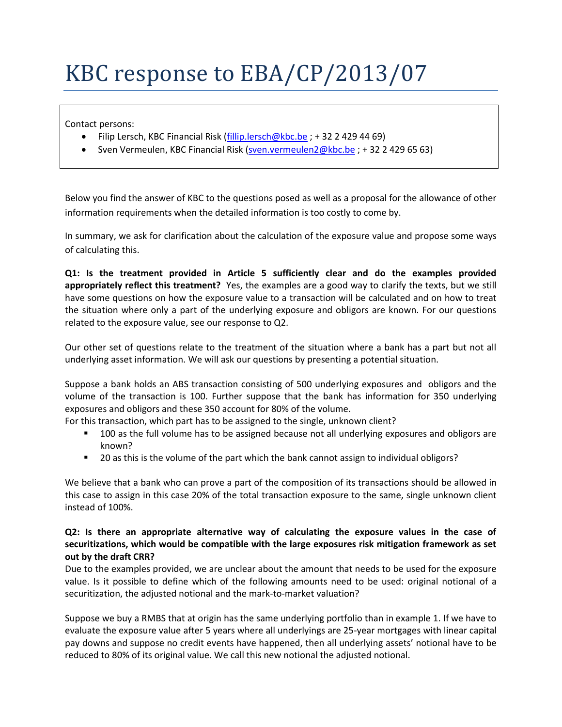## KBC response to EBA/CP/2013/07

Contact persons:

- Filip Lersch, KBC Financial Risk [\(fillip.lersch@kbc.be](mailto:fillip.lersch@kbc.be); +32 2 429 44 69)
- Sven Vermeulen, KBC Financial Risk [\(sven.vermeulen2@kbc.be](mailto:sven.vermeulen2@kbc.be) ; + 32 2 429 65 63)

Below you find the answer of KBC to the questions posed as well as a proposal for the allowance of other information requirements when the detailed information is too costly to come by.

In summary, we ask for clarification about the calculation of the exposure value and propose some ways of calculating this.

**Q1: Is the treatment provided in Article 5 sufficiently clear and do the examples provided appropriately reflect this treatment?** Yes, the examples are a good way to clarify the texts, but we still have some questions on how the exposure value to a transaction will be calculated and on how to treat the situation where only a part of the underlying exposure and obligors are known. For our questions related to the exposure value, see our response to Q2.

Our other set of questions relate to the treatment of the situation where a bank has a part but not all underlying asset information. We will ask our questions by presenting a potential situation.

Suppose a bank holds an ABS transaction consisting of 500 underlying exposures and obligors and the volume of the transaction is 100. Further suppose that the bank has information for 350 underlying exposures and obligors and these 350 account for 80% of the volume.

For this transaction, which part has to be assigned to the single, unknown client?

- **100** as the full volume has to be assigned because not all underlying exposures and obligors are known?
- <sup>2</sup> 20 as this is the volume of the part which the bank cannot assign to individual obligors?

We believe that a bank who can prove a part of the composition of its transactions should be allowed in this case to assign in this case 20% of the total transaction exposure to the same, single unknown client instead of 100%.

## **Q2: Is there an appropriate alternative way of calculating the exposure values in the case of securitizations, which would be compatible with the large exposures risk mitigation framework as set out by the draft CRR?**

Due to the examples provided, we are unclear about the amount that needs to be used for the exposure value. Is it possible to define which of the following amounts need to be used: original notional of a securitization, the adjusted notional and the mark-to-market valuation?

Suppose we buy a RMBS that at origin has the same underlying portfolio than in example 1. If we have to evaluate the exposure value after 5 years where all underlyings are 25-year mortgages with linear capital pay downs and suppose no credit events have happened, then all underlying assets' notional have to be reduced to 80% of its original value. We call this new notional the adjusted notional.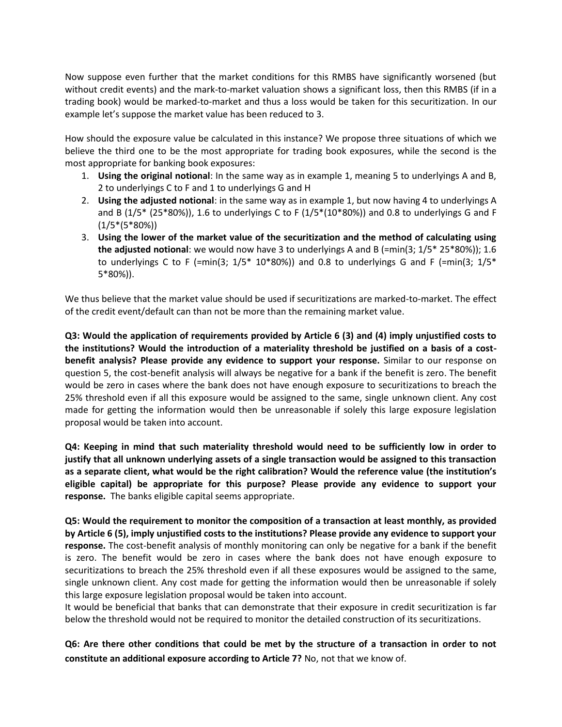Now suppose even further that the market conditions for this RMBS have significantly worsened (but without credit events) and the mark-to-market valuation shows a significant loss, then this RMBS (if in a trading book) would be marked-to-market and thus a loss would be taken for this securitization. In our example let's suppose the market value has been reduced to 3.

How should the exposure value be calculated in this instance? We propose three situations of which we believe the third one to be the most appropriate for trading book exposures, while the second is the most appropriate for banking book exposures:

- 1. **Using the original notional**: In the same way as in example 1, meaning 5 to underlyings A and B, 2 to underlyings C to F and 1 to underlyings G and H
- 2. **Using the adjusted notional**: in the same way as in example 1, but now having 4 to underlyings A and B (1/5\* (25\*80%)), 1.6 to underlyings C to F (1/5\*(10\*80%)) and 0.8 to underlyings G and F  $(1/5*(5*80\%))$
- 3. **Using the lower of the market value of the securitization and the method of calculating using the adjusted notional:** we would now have 3 to underlyings A and B (=min(3;  $1/5* 25*80%)$ ); 1.6 to underlyings C to F (=min(3;  $1/5$ \* 10\*80%)) and 0.8 to underlyings G and F (=min(3;  $1/5$ \* 5\*80%)).

We thus believe that the market value should be used if securitizations are marked-to-market. The effect of the credit event/default can than not be more than the remaining market value.

**Q3: Would the application of requirements provided by Article 6 (3) and (4) imply unjustified costs to the institutions? Would the introduction of a materiality threshold be justified on a basis of a costbenefit analysis? Please provide any evidence to support your response.** Similar to our response on question 5, the cost-benefit analysis will always be negative for a bank if the benefit is zero. The benefit would be zero in cases where the bank does not have enough exposure to securitizations to breach the 25% threshold even if all this exposure would be assigned to the same, single unknown client. Any cost made for getting the information would then be unreasonable if solely this large exposure legislation proposal would be taken into account.

**Q4: Keeping in mind that such materiality threshold would need to be sufficiently low in order to justify that all unknown underlying assets of a single transaction would be assigned to this transaction as a separate client, what would be the right calibration? Would the reference value (the institution's eligible capital) be appropriate for this purpose? Please provide any evidence to support your response.** The banks eligible capital seems appropriate.

**Q5: Would the requirement to monitor the composition of a transaction at least monthly, as provided by Article 6 (5), imply unjustified costs to the institutions? Please provide any evidence to support your response.** The cost-benefit analysis of monthly monitoring can only be negative for a bank if the benefit is zero. The benefit would be zero in cases where the bank does not have enough exposure to securitizations to breach the 25% threshold even if all these exposures would be assigned to the same, single unknown client. Any cost made for getting the information would then be unreasonable if solely this large exposure legislation proposal would be taken into account.

It would be beneficial that banks that can demonstrate that their exposure in credit securitization is far below the threshold would not be required to monitor the detailed construction of its securitizations.

**Q6: Are there other conditions that could be met by the structure of a transaction in order to not constitute an additional exposure according to Article 7?** No, not that we know of.